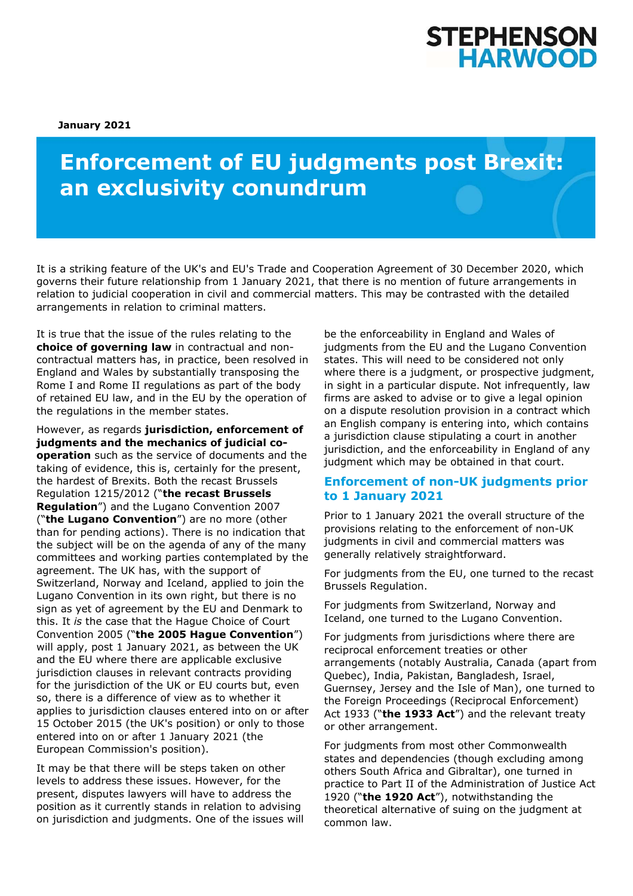## STEPHENSON **HARWOOD**

**January 2021** 

# **Enforcement of EU judgments post Brexit: an exclusivity conundrum**

It is a striking feature of the UK's and EU's Trade and Cooperation Agreement of 30 December 2020, which governs their future relationship from 1 January 2021, that there is no mention of future arrangements in relation to judicial cooperation in civil and commercial matters. This may be contrasted with the detailed arrangements in relation to criminal matters.

It is true that the issue of the rules relating to the **choice of governing law** in contractual and noncontractual matters has, in practice, been resolved in England and Wales by substantially transposing the Rome I and Rome II regulations as part of the body of retained EU law, and in the EU by the operation of the regulations in the member states.

However, as regards **jurisdiction, enforcement of judgments and the mechanics of judicial cooperation** such as the service of documents and the taking of evidence, this is, certainly for the present, the hardest of Brexits. Both the recast Brussels Regulation 1215/2012 ("**the recast Brussels Regulation**") and the Lugano Convention 2007 ("**the Lugano Convention**") are no more (other than for pending actions). There is no indication that the subject will be on the agenda of any of the many committees and working parties contemplated by the agreement. The UK has, with the support of Switzerland, Norway and Iceland, applied to join the Lugano Convention in its own right, but there is no sign as yet of agreement by the EU and Denmark to this. It *is* the case that the Hague Choice of Court Convention 2005 ("**the 2005 Hague Convention**") will apply, post 1 January 2021, as between the UK and the EU where there are applicable exclusive jurisdiction clauses in relevant contracts providing for the jurisdiction of the UK or EU courts but, even so, there is a difference of view as to whether it applies to jurisdiction clauses entered into on or after 15 October 2015 (the UK's position) or only to those entered into on or after 1 January 2021 (the European Commission's position).

It may be that there will be steps taken on other levels to address these issues. However, for the present, disputes lawyers will have to address the position as it currently stands in relation to advising on jurisdiction and judgments. One of the issues will be the enforceability in England and Wales of judgments from the EU and the Lugano Convention states. This will need to be considered not only where there is a judgment, or prospective judgment, in sight in a particular dispute. Not infrequently, law firms are asked to advise or to give a legal opinion on a dispute resolution provision in a contract which an English company is entering into, which contains a jurisdiction clause stipulating a court in another jurisdiction, and the enforceability in England of any judgment which may be obtained in that court.

#### **Enforcement of non-UK judgments prior to 1 January 2021**

Prior to 1 January 2021 the overall structure of the provisions relating to the enforcement of non-UK judgments in civil and commercial matters was generally relatively straightforward.

For judgments from the EU, one turned to the recast Brussels Regulation.

For judgments from Switzerland, Norway and Iceland, one turned to the Lugano Convention.

For judgments from jurisdictions where there are reciprocal enforcement treaties or other arrangements (notably Australia, Canada (apart from Quebec), India, Pakistan, Bangladesh, Israel, Guernsey, Jersey and the Isle of Man), one turned to the Foreign Proceedings (Reciprocal Enforcement) Act 1933 ("**the 1933 Act**") and the relevant treaty or other arrangement.

For judgments from most other Commonwealth states and dependencies (though excluding among others South Africa and Gibraltar), one turned in practice to Part II of the Administration of Justice Act 1920 ("**the 1920 Act**"), notwithstanding the theoretical alternative of suing on the judgment at common law.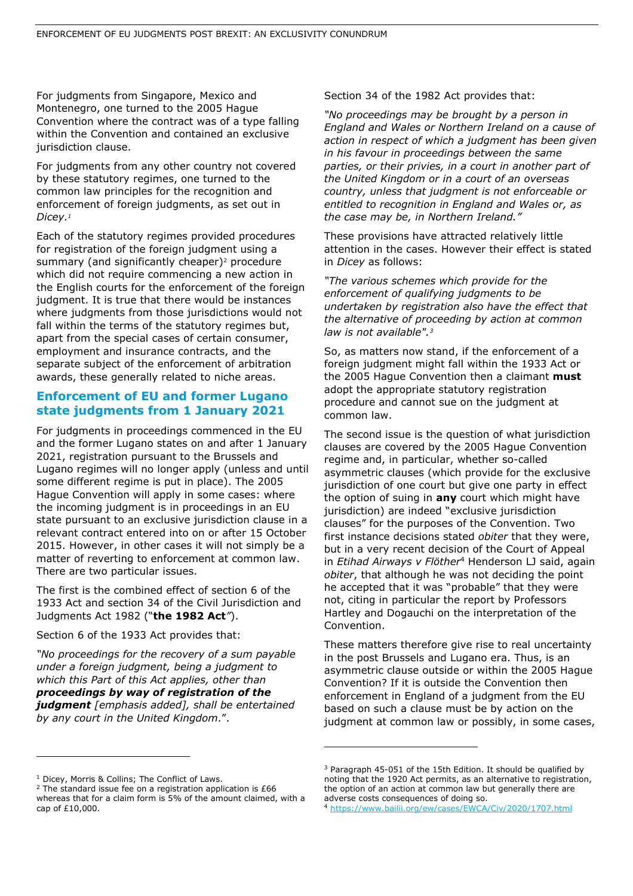For judgments from Singapore, Mexico and Montenegro, one turned to the 2005 Hague Convention where the contract was of a type falling within the Convention and contained an exclusive jurisdiction clause.

For judgments from any other country not covered by these statutory regimes, one turned to the common law principles for the recognition and enforcement of foreign judgments, as set out in *Dicey.1*

Each of the statutory regimes provided procedures for registration of the foreign judgment using a summary (and significantly cheaper)<sup>2</sup> procedure which did not require commencing a new action in the English courts for the enforcement of the foreign judgment. It is true that there would be instances where judgments from those jurisdictions would not fall within the terms of the statutory regimes but, apart from the special cases of certain consumer, employment and insurance contracts, and the separate subject of the enforcement of arbitration awards, these generally related to niche areas.

### **Enforcement of EU and former Lugano state judgments from 1 January 2021**

For judgments in proceedings commenced in the EU and the former Lugano states on and after 1 January 2021, registration pursuant to the Brussels and Lugano regimes will no longer apply (unless and until some different regime is put in place). The 2005 Hague Convention will apply in some cases: where the incoming judgment is in proceedings in an EU state pursuant to an exclusive jurisdiction clause in a relevant contract entered into on or after 15 October 2015. However, in other cases it will not simply be a matter of reverting to enforcement at common law. There are two particular issues.

The first is the combined effect of section 6 of the 1933 Act and section 34 of the Civil Jurisdiction and Judgments Act 1982 ("**the 1982 Act***"*).

Section 6 of the 1933 Act provides that:

*"No proceedings for the recovery of a sum payable under a foreign judgment, being a judgment to which this Part of this Act applies, other than proceedings by way of registration of the judgment [emphasis added], shall be entertained by any court in the United Kingdom*.".

Section 34 of the 1982 Act provides that:

*"No proceedings may be brought by a person in England and Wales or Northern Ireland on a cause of action in respect of which a judgment has been given in his favour in proceedings between the same parties, or their privies, in a court in another part of the United Kingdom or in a court of an overseas country, unless that judgment is not enforceable or entitled to recognition in England and Wales or, as the case may be, in Northern Ireland."* 

These provisions have attracted relatively little attention in the cases. However their effect is stated in *Dicey* as follows:

*"The various schemes which provide for the enforcement of qualifying judgments to be undertaken by registration also have the effect that the alternative of proceeding by action at common law is not available".3*

So, as matters now stand, if the enforcement of a foreign judgment might fall within the 1933 Act or the 2005 Hague Convention then a claimant **must** adopt the appropriate statutory registration procedure and cannot sue on the judgment at common law.

The second issue is the question of what jurisdiction clauses are covered by the 2005 Hague Convention regime and, in particular, whether so-called asymmetric clauses (which provide for the exclusive jurisdiction of one court but give one party in effect the option of suing in **any** court which might have jurisdiction) are indeed "exclusive jurisdiction clauses" for the purposes of the Convention. Two first instance decisions stated *obiter* that they were, but in a very recent decision of the Court of Appeal in *Etihad Airways v Flöther*4 Henderson LJ said, again *obiter*, that although he was not deciding the point he accepted that it was "probable" that they were not, citing in particular the report by Professors Hartley and Dogauchi on the interpretation of the Convention.

These matters therefore give rise to real uncertainty in the post Brussels and Lugano era. Thus, is an asymmetric clause outside or within the 2005 Hague Convention? If it is outside the Convention then enforcement in England of a judgment from the EU based on such a clause must be by action on the judgment at common law or possibly, in some cases,

<sup>&</sup>lt;sup>1</sup> Dicey, Morris & Collins; The Conflict of Laws.

<sup>&</sup>lt;sup>2</sup> The standard issue fee on a registration application is  $£66$ whereas that for a claim form is 5% of the amount claimed, with a cap of £10,000.

<sup>3</sup> Paragraph 45-051 of the 15th Edition. It should be qualified by noting that the 1920 Act permits, as an alternative to registration, the option of an action at common law but generally there are adverse costs consequences of doing so.

<sup>4</sup> https://www.bailii.org/ew/cases/EWCA/Civ/2020/1707.html